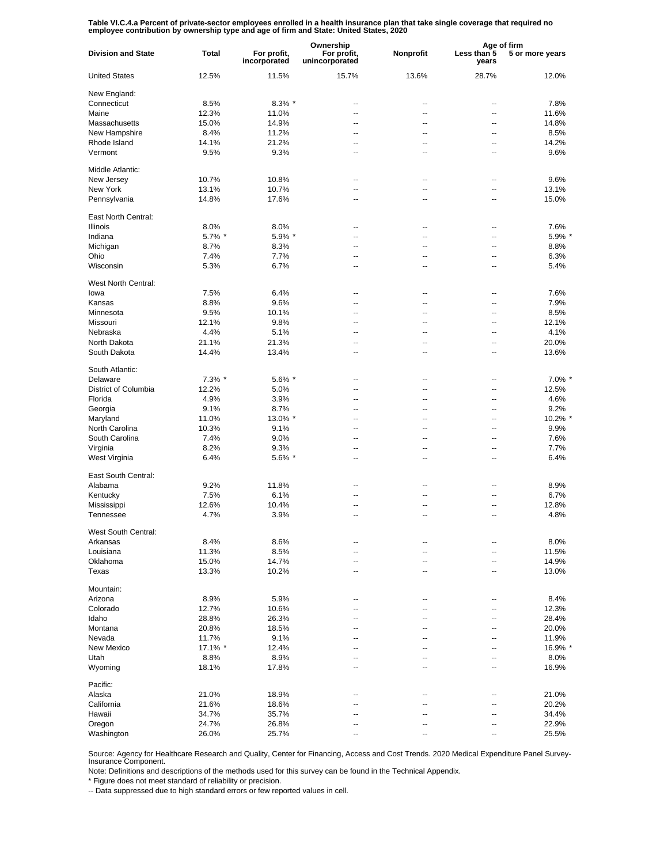Table VI.C.4.a Percent of private-sector employees enrolled in a health insurance plan that take single coverage that required no<br>employee contribution by ownership type and age of firm and State: United States, 2020

|                           | Total   |                             | Ownership                     |                | Age of firm              |                 |
|---------------------------|---------|-----------------------------|-------------------------------|----------------|--------------------------|-----------------|
| <b>Division and State</b> |         | For profit,<br>incorporated | For profit,<br>unincorporated | Nonprofit      | Less than 5<br>vears     | 5 or more years |
| <b>United States</b>      | 12.5%   | 11.5%                       | 15.7%                         | 13.6%          | 28.7%                    | 12.0%           |
| New England:              |         |                             |                               |                |                          |                 |
| Connecticut               | 8.5%    | $8.3\%$ *                   | ц,                            | --             | $\overline{\phantom{a}}$ | 7.8%            |
| Maine                     | 12.3%   | 11.0%                       | $\overline{a}$                | --             | $\overline{\phantom{a}}$ | 11.6%           |
| Massachusetts             | 15.0%   | 14.9%                       | $\overline{a}$                | --             | --                       | 14.8%           |
| New Hampshire             | 8.4%    | 11.2%                       | $\overline{a}$                | --             | $\overline{\phantom{a}}$ | 8.5%            |
| Rhode Island              | 14.1%   | 21.2%                       | ц,                            | --             | --                       | 14.2%           |
| Vermont                   | 9.5%    | 9.3%                        | ц,                            | --             | --                       | 9.6%            |
| Middle Atlantic:          |         |                             |                               |                |                          |                 |
| New Jersey                | 10.7%   | 10.8%                       | --                            | --             | $\overline{\phantom{a}}$ | 9.6%            |
| New York                  | 13.1%   | 10.7%                       | --                            | --             | --                       | 13.1%           |
| Pennsylvania              | 14.8%   | 17.6%                       | --                            | --             | $\overline{\phantom{a}}$ | 15.0%           |
| East North Central:       |         |                             |                               |                |                          |                 |
| <b>Illinois</b>           | 8.0%    | 8.0%                        | ٠.                            | --             | --                       | 7.6%            |
| Indiana                   | 5.7% *  | 5.9% *                      | --                            | --             | --                       | 5.9% *          |
| Michigan                  | 8.7%    | 8.3%                        | --                            | --             | $\overline{\phantom{a}}$ | 8.8%            |
| Ohio                      | 7.4%    | 7.7%                        | --                            | --             | --                       | 6.3%            |
| Wisconsin                 | 5.3%    | 6.7%                        | ٠.                            | --             | --                       | 5.4%            |
| West North Central:       |         |                             |                               |                |                          |                 |
| lowa                      | 7.5%    | 6.4%                        | $\overline{a}$                | --             | --                       | 7.6%            |
| Kansas                    | 8.8%    | 9.6%                        | μ.                            | --             | --                       | 7.9%            |
| Minnesota                 | 9.5%    | 10.1%                       | ц,                            | --             | --                       | 8.5%            |
| Missouri                  | 12.1%   | 9.8%                        | $\overline{a}$                | --             | --                       | 12.1%           |
| Nebraska                  | 4.4%    | 5.1%                        | ц,                            | --             | --                       | 4.1%            |
| North Dakota              | 21.1%   | 21.3%                       | $\overline{a}$                | $\overline{a}$ | --                       | 20.0%           |
| South Dakota              | 14.4%   | 13.4%                       | Ц.                            | --             | $\overline{a}$           | 13.6%           |
| South Atlantic:           |         |                             |                               |                |                          |                 |
| Delaware                  | 7.3% *  | 5.6% *                      | --                            | --             | $\overline{\phantom{a}}$ | 7.0% *          |
| District of Columbia      | 12.2%   | 5.0%                        | --                            | --             | $\overline{\phantom{a}}$ | 12.5%           |
| Florida                   | 4.9%    | 3.9%                        | --                            | --             | --                       | 4.6%            |
| Georgia                   | 9.1%    | 8.7%                        | --                            | $\overline{a}$ | $\overline{\phantom{a}}$ | 9.2%            |
| Maryland                  | 11.0%   | 13.0% *                     | --                            | --             | $\overline{\phantom{a}}$ | 10.2% *         |
| North Carolina            | 10.3%   | 9.1%                        | --                            | --             | $\overline{\phantom{a}}$ | 9.9%            |
| South Carolina            | 7.4%    | 9.0%                        | --                            | --             | --                       | 7.6%            |
| Virginia                  | 8.2%    | 9.3%                        | --                            | --             | $\overline{\phantom{a}}$ | 7.7%            |
| West Virginia             | 6.4%    | 5.6% *                      | --                            | --             | --                       | 6.4%            |
| East South Central:       |         |                             |                               |                |                          |                 |
| Alabama                   | 9.2%    | 11.8%                       | ٠.                            | --             | --                       | 8.9%            |
| Kentucky                  | 7.5%    | 6.1%                        | ٠.                            | --             | --                       | 6.7%            |
| Mississippi               | 12.6%   | 10.4%                       | ٠.                            | --             | --                       | 12.8%           |
| Tennessee                 | 4.7%    | 3.9%                        | --                            | --             | --                       | 4.8%            |
| West South Central:       |         |                             |                               |                |                          |                 |
| Arkansas                  | 8.4%    | 8.6%                        |                               |                |                          | 8.0%            |
| Louisiana                 | 11.3%   | 8.5%                        | --                            | --             | --                       | 11.5%           |
| Oklahoma                  | 15.0%   | 14.7%                       | --                            | --             |                          | 14.9%           |
| Texas                     | 13.3%   | 10.2%                       | --                            | --             |                          | 13.0%           |
| Mountain:                 |         |                             |                               |                |                          |                 |
| Arizona                   | 8.9%    | 5.9%                        | --                            | --             | $\overline{\phantom{a}}$ | 8.4%            |
| Colorado                  | 12.7%   | 10.6%                       | --                            | --             | --                       | 12.3%           |
| Idaho                     | 28.8%   | 26.3%                       | --                            | --             | $\overline{\phantom{a}}$ | 28.4%           |
| Montana                   | 20.8%   | 18.5%                       | --                            | --             | --                       | 20.0%           |
| Nevada                    | 11.7%   | 9.1%                        | --                            | --             | --                       | 11.9%           |
| New Mexico                | 17.1% * | 12.4%                       | --                            |                |                          | 16.9% *         |
| Utah                      | 8.8%    | 8.9%                        | --                            | --             | $\overline{\phantom{a}}$ | 8.0%            |
| Wyoming                   | 18.1%   | 17.8%                       | --                            | --             |                          | 16.9%           |
| Pacific:                  |         |                             |                               |                |                          |                 |
| Alaska                    | 21.0%   | 18.9%                       | ٠.                            |                |                          | 21.0%           |
| California                | 21.6%   | 18.6%                       | Ξ.                            |                |                          | 20.2%           |
| Hawaii                    | 34.7%   | 35.7%                       | ٠.                            |                |                          | 34.4%           |
| Oregon                    | 24.7%   | 26.8%                       | ٠.                            |                |                          | 22.9%           |
| Washington                | 26.0%   | 25.7%                       | ۵.                            |                |                          | 25.5%           |

Source: Agency for Healthcare Research and Quality, Center for Financing, Access and Cost Trends. 2020 Medical Expenditure Panel Survey-Insurance Component.

Note: Definitions and descriptions of the methods used for this survey can be found in the Technical Appendix.

\* Figure does not meet standard of reliability or precision.

-- Data suppressed due to high standard errors or few reported values in cell.